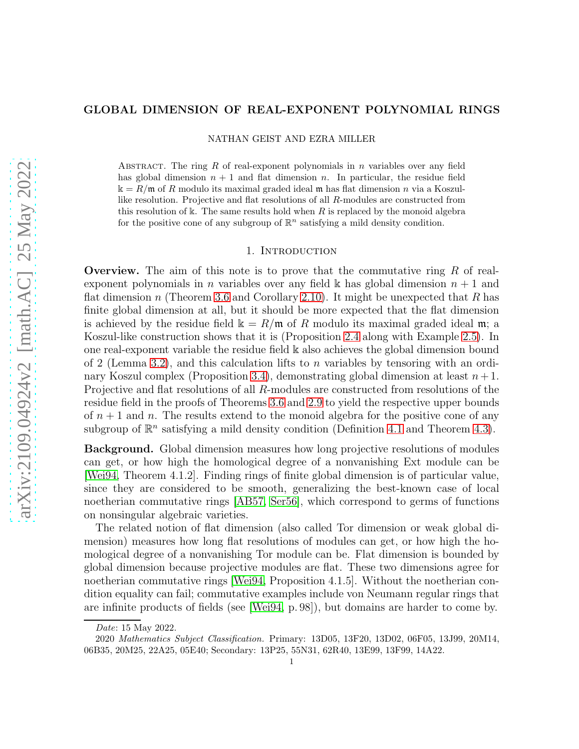# arXiv:2109.04924v2 [math.AC] 25 May 2022 [arXiv:2109.04924v2 \[math.AC\] 25 May 2022](http://arxiv.org/abs/2109.04924v2)

# GLOBAL DIMENSION OF REAL-EXPONENT POLYNOMIAL RINGS

NATHAN GEIST AND EZRA MILLER

ABSTRACT. The ring  $R$  of real-exponent polynomials in  $n$  variables over any field has global dimension  $n + 1$  and flat dimension n. In particular, the residue field  $k = R/m$  of R modulo its maximal graded ideal m has flat dimension n via a Koszullike resolution. Projective and flat resolutions of all R-modules are constructed from this resolution of k. The same results hold when  $R$  is replaced by the monoid algebra for the positive cone of any subgroup of  $\mathbb{R}^n$  satisfying a mild density condition.

# 1. INTRODUCTION

**Overview.** The aim of this note is to prove that the commutative ring  $R$  of realexponent polynomials in *n* variables over any field k has global dimension  $n + 1$  and flat dimension n (Theorem [3.6](#page-6-0) and Corollary [2.10\)](#page-4-0). It might be unexpected that R has finite global dimension at all, but it should be more expected that the flat dimension is achieved by the residue field  $\mathbb{k} = R/\mathfrak{m}$  of R modulo its maximal graded ideal  $\mathfrak{m}$ ; a Koszul-like construction shows that it is (Proposition [2.4](#page-2-0) along with Example [2.5\)](#page-3-0). In one real-exponent variable the residue field k also achieves the global dimension bound of 2 (Lemma [3.2\)](#page-5-0), and this calculation lifts to n variables by tensoring with an ordi-nary Koszul complex (Proposition [3.4\)](#page-5-1), demonstrating global dimension at least  $n+1$ . Projective and flat resolutions of all R-modules are constructed from resolutions of the residue field in the proofs of Theorems [3.6](#page-6-0) and [2.9](#page-4-1) to yield the respective upper bounds of  $n + 1$  and n. The results extend to the monoid algebra for the positive cone of any subgroup of  $\mathbb{R}^n$  satisfying a mild density condition (Definition [4.1](#page-6-1) and Theorem [4.3\)](#page-7-0).

Background. Global dimension measures how long projective resolutions of modules can get, or how high the homological degree of a nonvanishing Ext module can be [\[Wei94,](#page-9-0) Theorem 4.1.2]. Finding rings of finite global dimension is of particular value, since they are considered to be smooth, generalizing the best-known case of local noetherian commutative rings [\[AB57,](#page-8-0) [Ser56\]](#page-9-1), which correspond to germs of functions on nonsingular algebraic varieties.

The related notion of flat dimension (also called Tor dimension or weak global dimension) measures how long flat resolutions of modules can get, or how high the homological degree of a nonvanishing Tor module can be. Flat dimension is bounded by global dimension because projective modules are flat. These two dimensions agree for noetherian commutative rings [\[Wei94,](#page-9-0) Proposition 4.1.5]. Without the noetherian condition equality can fail; commutative examples include von Neumann regular rings that are infinite products of fields (see [\[Wei94,](#page-9-0) p. 98]), but domains are harder to come by.

Date: 15 May 2022.

<sup>2020</sup> Mathematics Subject Classification. Primary: 13D05, 13F20, 13D02, 06F05, 13J99, 20M14, 06B35, 20M25, 22A25, 05E40; Secondary: 13P25, 55N31, 62R40, 13E99, 13F99, 14A22.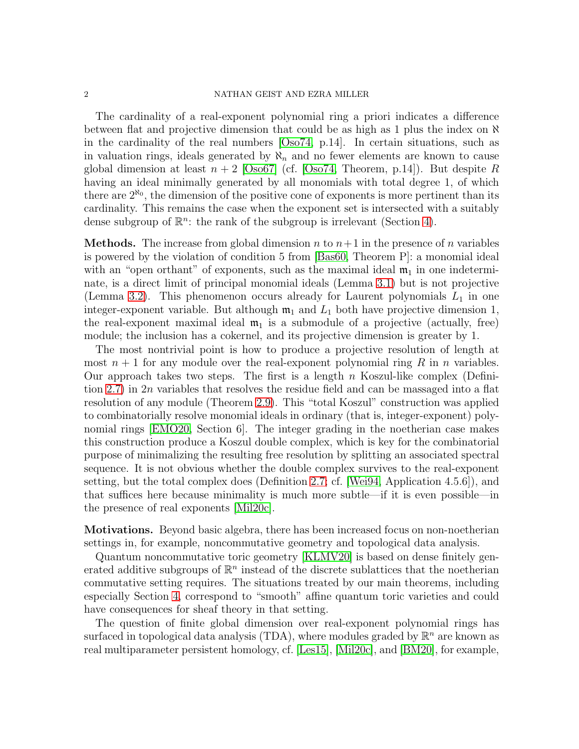## 2 NATHAN GEIST AND EZRA MILLER

The cardinality of a real-exponent polynomial ring a priori indicates a difference between flat and projective dimension that could be as high as 1 plus the index on  $\aleph$ in the cardinality of the real numbers [\[Oso74,](#page-9-2) p.14]. In certain situations, such as in valuation rings, ideals generated by  $\aleph_n$  and no fewer elements are known to cause global dimension at least  $n + 2$  [\[Oso67\]](#page-9-3) (cf. [\[Oso74,](#page-9-2) Theorem, p.14]). But despite R having an ideal minimally generated by all monomials with total degree 1, of which there are  $2^{\aleph_0}$ , the dimension of the positive cone of exponents is more pertinent than its cardinality. This remains the case when the exponent set is intersected with a suitably dense subgroup of  $\mathbb{R}^n$ : the rank of the subgroup is irrelevant (Section [4\)](#page-6-2).

**Methods.** The increase from global dimension n to  $n+1$  in the presence of n variables is powered by the violation of condition 5 from [\[Bas60,](#page-8-1) Theorem P]: a monomial ideal with an "open orthant" of exponents, such as the maximal ideal  $\mathfrak{m}_1$  in one indeterminate, is a direct limit of principal monomial ideals (Lemma [3.1\)](#page-4-2) but is not projective (Lemma [3.2\)](#page-5-0). This phenomenon occurs already for Laurent polynomials  $L_1$  in one integer-exponent variable. But although  $m_1$  and  $L_1$  both have projective dimension 1, the real-exponent maximal ideal  $\mathfrak{m}_1$  is a submodule of a projective (actually, free) module; the inclusion has a cokernel, and its projective dimension is greater by 1.

The most nontrivial point is how to produce a projective resolution of length at most  $n + 1$  for any module over the real-exponent polynomial ring R in n variables. Our approach takes two steps. The first is a length  $n$  Koszul-like complex (Definition [2.7\)](#page-4-3) in 2n variables that resolves the residue field and can be massaged into a flat resolution of any module (Theorem [2.9\)](#page-4-1). This "total Koszul" construction was applied to combinatorially resolve monomial ideals in ordinary (that is, integer-exponent) polynomial rings [\[EMO20,](#page-8-2) Section 6]. The integer grading in the noetherian case makes this construction produce a Koszul double complex, which is key for the combinatorial purpose of minimalizing the resulting free resolution by splitting an associated spectral sequence. It is not obvious whether the double complex survives to the real-exponent setting, but the total complex does (Definition [2.7;](#page-4-3) cf. [\[Wei94,](#page-9-0) Application 4.5.6]), and that suffices here because minimality is much more subtle—if it is even possible—in the presence of real exponents [\[Mil20c\]](#page-8-3).

Motivations. Beyond basic algebra, there has been increased focus on non-noetherian settings in, for example, noncommutative geometry and topological data analysis.

Quantum noncommutative toric geometry [\[KLMV20\]](#page-8-4) is based on dense finitely generated additive subgroups of  $\mathbb{R}^n$  instead of the discrete sublattices that the noetherian commutative setting requires. The situations treated by our main theorems, including especially Section [4,](#page-6-2) correspond to "smooth" affine quantum toric varieties and could have consequences for sheaf theory in that setting.

The question of finite global dimension over real-exponent polynomial rings has surfaced in topological data analysis (TDA), where modules graded by  $\mathbb{R}^n$  are known as real multiparameter persistent homology, cf. [\[Les15\]](#page-8-5), [\[Mil20c\]](#page-8-3), and [\[BM20\]](#page-8-6), for example,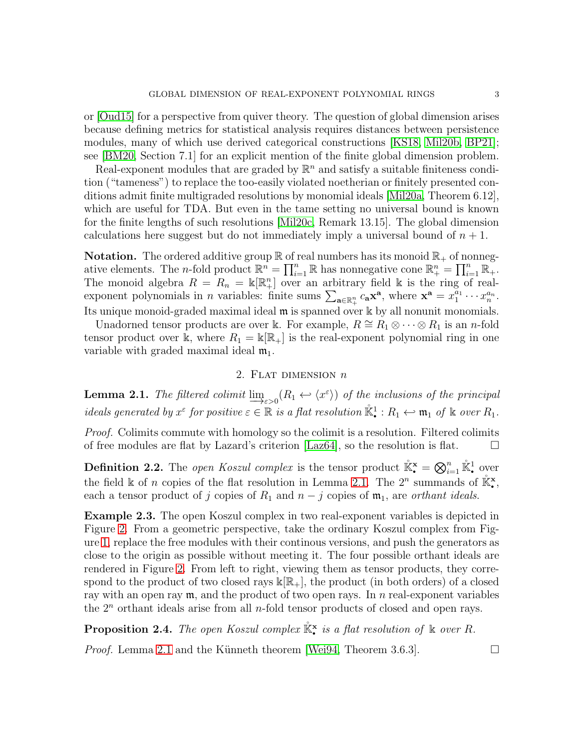or [\[Oud15\]](#page-9-4) for a perspective from quiver theory. The question of global dimension arises because defining metrics for statistical analysis requires distances between persistence modules, many of which use derived categorical constructions [\[KS18,](#page-8-7) [Mil20b,](#page-8-8) [BP21\]](#page-8-9); see [\[BM20,](#page-8-6) Section 7.1] for an explicit mention of the finite global dimension problem.

Real-exponent modules that are graded by  $\mathbb{R}^n$  and satisfy a suitable finiteness condition ("tameness") to replace the too-easily violated noetherian or finitely presented conditions admit finite multigraded resolutions by monomial ideals [\[Mil20a,](#page-8-10) Theorem 6.12], which are useful for TDA. But even in the tame setting no universal bound is known for the finite lengths of such resolutions [\[Mil20c,](#page-8-3) Remark 13.15]. The global dimension calculations here suggest but do not immediately imply a universal bound of  $n + 1$ .

**Notation.** The ordered additive group  $\mathbb{R}$  of real numbers has its monoid  $\mathbb{R}_+$  of nonnegative elements. The *n*-fold product  $\mathbb{R}^n = \prod_{i=1}^n \mathbb{R}$  has nonnegative cone  $\mathbb{R}^n_+ = \prod_{i=1}^n \mathbb{R}_+$ . The monoid algebra  $R = R_n = \mathbb{k}[\mathbb{R}^n_+]$  over an arbitrary field k is the ring of realexponent polynomials in *n* variables: finite sums  $\sum_{\mathbf{a}\in\mathbb{R}_+^n} c_{\mathbf{a}} \mathbf{x}^{\mathbf{a}},$  where  $\mathbf{x}^{\mathbf{a}} = x_1^{a_1}$  $x_1^{a_1}\cdots x_n^{a_n}.$ Its unique monoid-graded maximal ideal m is spanned over k by all nonunit monomials.

Unadorned tensor products are over k. For example,  $R \cong R_1 \otimes \cdots \otimes R_1$  is an *n*-fold tensor product over k, where  $R_1 = k[\mathbb{R}_+]$  is the real-exponent polynomial ring in one variable with graded maximal ideal  $m_1$ .

# 2. FLAT DIMENSION  $n$

<span id="page-2-3"></span><span id="page-2-1"></span>**Lemma 2.1.** The filtered colimit  $\underline{\lim}_{\varepsilon>0} (R_1 \leftrightarrow \langle x^{\varepsilon} \rangle)$  of the inclusions of the principal ideals generated by  $x^{\varepsilon}$  for positive  $\varepsilon \in \mathbb{R}$  is a flat resolution  $\mathbb{K}^1$  :  $R_1 \leftarrow \mathfrak{m}_1$  of  $\mathbb{k}$  over  $R_1$ .

Proof. Colimits commute with homology so the colimit is a resolution. Filtered colimits of free modules are flat by Lazard's criterion [\[Laz64\]](#page-8-11), so the resolution is flat.  $\square$ 

<span id="page-2-2"></span>**Definition 2.2.** The *open Koszul complex* is the tensor product  $\mathbb{K}^{\mathbf{x}}_{\bullet} = \bigotimes_{i=1}^{n} \mathbb{K}^1_{\bullet}$  over the field  $\Bbbk$  of n copies of the flat resolution in Lemma [2.1.](#page-2-1) The  $2^n$  summands of  $\mathbb{K}^{\mathbf{x}}_{\bullet}$ , each a tensor product of j copies of  $R_1$  and  $n - j$  copies of  $\mathfrak{m}_1$ , are *orthant ideals*.

Example 2.3. The open Koszul complex in two real-exponent variables is depicted in Figure [2.](#page-3-1) From a geometric perspective, take the ordinary Koszul complex from Figure [1,](#page-3-2) replace the free modules with their continous versions, and push the generators as close to the origin as possible without meeting it. The four possible orthant ideals are rendered in Figure [2.](#page-3-1) From left to right, viewing them as tensor products, they correspond to the product of two closed rays  $\Bbbk[\mathbb{R}_+]$ , the product (in both orders) of a closed ray with an open ray  $\mathfrak{m}$ , and the product of two open rays. In n real-exponent variables the  $2<sup>n</sup>$  orthant ideals arise from all *n*-fold tensor products of closed and open rays.

<span id="page-2-0"></span>**Proposition 2.4.** The open Koszul complex  $\mathbb{K}^{\times}$  is a flat resolution of  $\mathbb{K}$  over R.

*Proof.* Lemma [2.1](#page-2-1) and the Künneth theorem [\[Wei94,](#page-9-0) Theorem 3.6.3].  $\Box$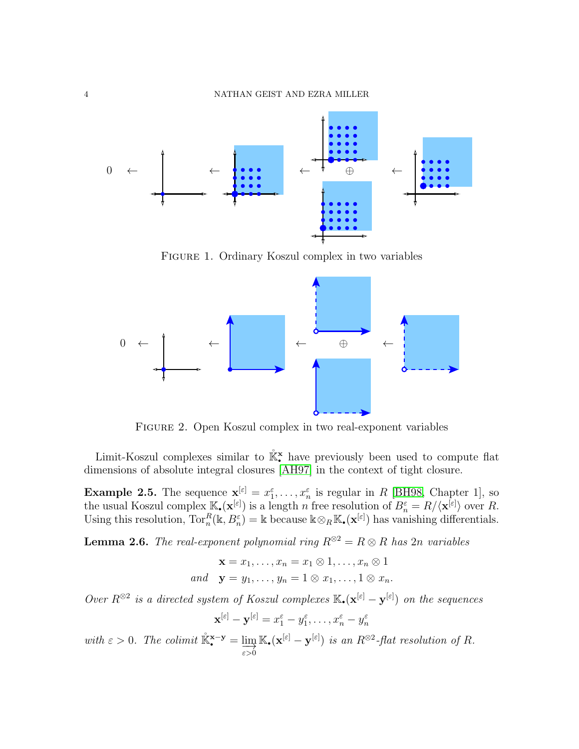

<span id="page-3-2"></span>Figure 1. Ordinary Koszul complex in two variables



<span id="page-3-1"></span>Figure 2. Open Koszul complex in two real-exponent variables

Limit-Koszul complexes similar to  $\mathbb{R}^*$  have previously been used to compute flat dimensions of absolute integral closures [\[AH97\]](#page-8-12) in the context of tight closure.

<span id="page-3-0"></span>**Example 2.5.** The sequence  $\mathbf{x}^{[\varepsilon]} = x_1^{\varepsilon}, \dots, x_n^{\varepsilon}$  is regular in R [\[BH98,](#page-8-13) Chapter 1], so the usual Koszul complex  $\mathbb{K}_{\bullet}(\mathbf{x}^{[\varepsilon]})$  is a length n free resolution of  $B_n^{\varepsilon} = R/\langle \mathbf{x}^{[\varepsilon]} \rangle$  over R. Using this resolution,  $\text{Tor}_n^R(\mathbb{k}, B_n^{\varepsilon}) = \mathbb{k}$  because  $\mathbb{k} \otimes_R \mathbb{K}_\bullet(\mathbf{x}^{[\varepsilon]})$  has vanishing differentials.

<span id="page-3-3"></span>**Lemma 2.6.** The real-exponent polynomial ring  $R^{\otimes 2} = R \otimes R$  has 2n variables

$$
\mathbf{x} = x_1, \dots, x_n = x_1 \otimes 1, \dots, x_n \otimes 1
$$
  
and 
$$
\mathbf{y} = y_1, \dots, y_n = 1 \otimes x_1, \dots, 1 \otimes x_n.
$$

Over  $R^{\otimes 2}$  is a directed system of Koszul complexes  $\mathbb{K}_\bullet(\mathbf{x}^{[\varepsilon]} - \mathbf{y}^{[\varepsilon]})$  on the sequences

$$
\mathbf{x}^{[\varepsilon]} - \mathbf{y}^{[\varepsilon]} = x_1^{\varepsilon} - y_1^{\varepsilon}, \dots, x_n^{\varepsilon} - y_n^{\varepsilon}
$$

with  $\varepsilon > 0$ . The colimit  $\mathbb{K}_{\bullet}^{\mathbf{x}-\mathbf{y}} = \lim_{\varepsilon > 0}$  $\mathbb{K}_{\bullet}(\mathbf{x}^{[\varepsilon]} - \mathbf{y}^{[\varepsilon]})$  is an  $R^{\otimes 2}$ -flat resolution of R.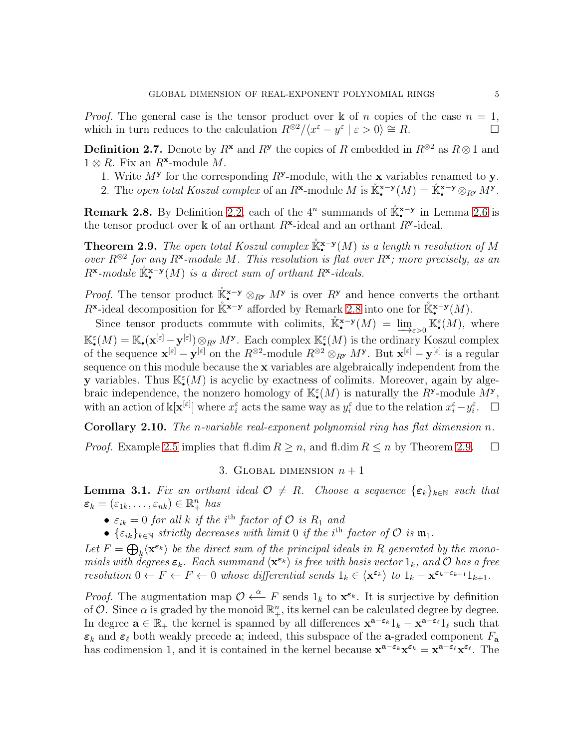*Proof.* The general case is the tensor product over  $\mathbb{k}$  of n copies of the case  $n = 1$ , which in turn reduces to the calculation  $R^{\otimes 2}/\langle x^{\varepsilon} - y^{\varepsilon} | \varepsilon > 0 \rangle \cong R$ .

<span id="page-4-3"></span>**Definition 2.7.** Denote by  $R^{\mathbf{x}}$  and  $R^{\mathbf{y}}$  the copies of R embedded in  $R^{\otimes 2}$  as  $R \otimes 1$  and  $1 \otimes R$ . Fix an  $R^{\mathbf{x}}$ -module M.

- 1. Write  $M^{\mathbf{y}}$  for the corresponding  $R^{\mathbf{y}}$ -module, with the **x** variables renamed to **y**.
- 2. The open total Koszul complex of an R<sup>x</sup>-module M is  $\mathbb{R}^{\mathbf{x}-\mathbf{y}}(M) = \mathbb{R}^{\mathbf{x}-\mathbf{y}} \otimes_{R^{\mathbf{y}}} M^{\mathbf{y}}$ .

<span id="page-4-4"></span>**Remark 2.8.** By Definition [2.2,](#page-2-2) each of the  $4^n$  summands of  $\mathbb{K}^{x-y}$  in Lemma [2.6](#page-3-3) is the tensor product over  $\mathbb k$  of an orthant  $R^{\mathbf x}$ -ideal and an orthant  $R^{\mathbf y}$ -ideal.

<span id="page-4-1"></span>**Theorem 2.9.** The open total Koszul complex  $\mathbb{K}^{\mathbf{x}-\mathbf{y}}(M)$  is a length n resolution of M over  $R^{\otimes 2}$  for any  $R^{\mathbf{x}}$ -module M. This resolution is flat over  $R^{\mathbf{x}}$ ; more precisely, as an  $R^{\mathbf{x}}$ -module  $\mathbb{K}_{\bullet}^{\mathbf{x}-\mathbf{y}}(M)$  is a direct sum of orthant  $R^{\mathbf{x}}$ -ideals.

*Proof.* The tensor product  $\mathbb{R}^{x-y} \otimes_{R_y} M^y$  is over  $R^y$  and hence converts the orthant R<sup>x</sup>-ideal decomposition for  $\mathbb{K}^{x-y}$  afforded by Remark [2.8](#page-4-4) into one for  $\mathbb{K}^{x-y}(M)$ .

Since tensor products commute with colimits,  $\mathbb{R}^{\mathbf{x}-\mathbf{y}}(M) = \underline{\lim}_{\varepsilon>0} \mathbb{K}^{\varepsilon}(M)$ , where  $\mathbb{K}_{\bullet}^{\varepsilon}(M) = \mathbb{K}_{\bullet}(\mathbf{x}^{[\varepsilon]} - \mathbf{y}^{[\varepsilon]}) \otimes_{R^{\mathbf{y}}} M^{\mathbf{y}}$ . Each complex  $\mathbb{K}_{\bullet}^{\varepsilon}(M)$  is the ordinary Koszul complex of the sequence  $\mathbf{x}^{[\varepsilon]} - \mathbf{y}^{[\varepsilon]}$  on the  $R^{\otimes 2}$ -module  $R^{\otimes 2} \otimes_{R^{\mathbf{y}}} M^{\mathbf{y}}$ . But  $\mathbf{x}^{[\varepsilon]} - \mathbf{y}^{[\varepsilon]}$  is a regular sequence on this module because the x variables are algebraically independent from the **y** variables. Thus  $\mathbb{K}_{\bullet}^{\varepsilon}(M)$  is acyclic by exactness of colimits. Moreover, again by algebraic independence, the nonzero homology of  $\mathbb{K}^{\varepsilon}(M)$  is naturally the  $R^{\mathbf{y}}$ -module  $M^{\mathbf{y}},$ with an action of  $\mathbb{k}[\mathbf{x}^{[\varepsilon]}]$  where  $x_i^{\varepsilon}$  acts the same way as  $y_i^{\varepsilon}$  due to the relation  $x_i^{\varepsilon} - y_i^{\varepsilon}$ .  $\Box$ 

<span id="page-4-0"></span>Corollary 2.10. The n-variable real-exponent polynomial ring has flat dimension n.

<span id="page-4-5"></span>*Proof.* Example [2.5](#page-3-0) implies that fl.dim  $R \ge n$ , and fl.dim  $R \le n$  by Theorem [2.9.](#page-4-1)  $\Box$ 

# 3. GLOBAL DIMENSION  $n + 1$

<span id="page-4-2"></span>**Lemma 3.1.** Fix an orthant ideal  $\mathcal{O} \neq R$ . Choose a sequence  $\{\varepsilon_k\}_{k\in\mathbb{N}}$  such that  $\varepsilon_k = (\varepsilon_{1k}, \ldots, \varepsilon_{nk}) \in \mathbb{R}_+^n$  has

- $\varepsilon_{ik} = 0$  for all k if the i<sup>th</sup> factor of  $\mathcal O$  is  $R_1$  and
- $\{\varepsilon_{ik}\}_{k\in\mathbb{N}}$  strictly decreases with limit 0 if the i<sup>th</sup> factor of  $\mathcal O$  is  $\mathfrak m_1$ .

Let  $F = \bigoplus_k \langle \mathbf{x}^{\varepsilon_k} \rangle$  be the direct sum of the principal ideals in R generated by the monomials with degrees  $\varepsilon_k$ . Each summand  $\langle \mathbf{x}^{\varepsilon_k} \rangle$  is free with basis vector  $1_k$ , and  $\mathcal O$  has a free resolution  $0 \leftarrow F \leftarrow F \leftarrow 0$  whose differential sends  $1_k \in \langle \mathbf{x}^{\varepsilon_k} \rangle$  to  $1_k - \mathbf{x}^{\varepsilon_k - \varepsilon_{k+1}} 1_{k+1}$ .

*Proof.* The augmentation map  $\mathcal{O} \leftarrow F$  sends  $1_k$  to  $\mathbf{x}^{\varepsilon_k}$ . It is surjective by definition of  $\mathcal{O}$ . Since  $\alpha$  is graded by the monoid  $\mathbb{R}^n_+$ , its kernel can be calculated degree by degree. In degree  $\mathbf{a} \in \mathbb{R}_+$  the kernel is spanned by all differences  $\mathbf{x}^{\mathbf{a}-\varepsilon_k}1_k - \mathbf{x}^{\mathbf{a}-\varepsilon_\ell}1_\ell$  such that  $\varepsilon_k$  and  $\varepsilon_\ell$  both weakly precede a; indeed, this subspace of the a-graded component  $F_a$ has codimension 1, and it is contained in the kernel because  $\mathbf{x}^{\mathbf{a}-\varepsilon_k}\mathbf{x}^{\varepsilon_k} = \mathbf{x}^{\mathbf{a}-\varepsilon_\ell}\mathbf{x}^{\varepsilon_\ell}$ . The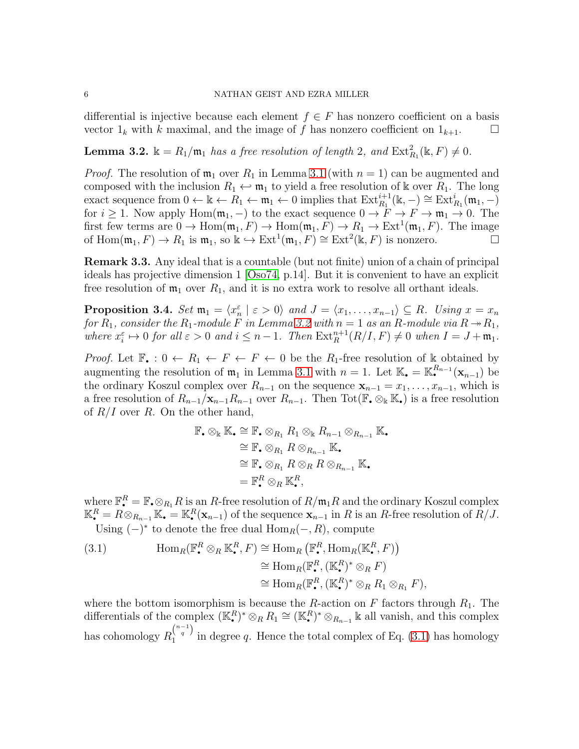### 6 NATHAN GEIST AND EZRA MILLER

differential is injective because each element  $f \in F$  has nonzero coefficient on a basis vector  $1_k$  with k maximal, and the image of f has nonzero coefficient on  $1_{k+1}$ .

<span id="page-5-0"></span>**Lemma 3.2.**  $\mathbb{k} = R_1/\mathfrak{m}_1$  has a free resolution of length 2, and  $\text{Ext}_{R_1}^2(\mathbb{k}, F) \neq 0$ .

*Proof.* The resolution of  $\mathfrak{m}_1$  over  $R_1$  in Lemma [3.1](#page-4-2) (with  $n = 1$ ) can be augmented and composed with the inclusion  $R_1 \leftrightarrow \mathfrak{m}_1$  to yield a free resolution of k over  $R_1$ . The long exact sequence from  $0 \leftarrow \mathbb{k} \leftarrow R_1 \leftarrow \mathfrak{m}_1 \leftarrow 0$  implies that  $\text{Ext}_{R_1}^{i+1}(\mathbb{k}, -) \cong \text{Ext}_{R_1}^{i}(\mathfrak{m}_1, -)$ for  $i \geq 1$ . Now apply Hom $(\mathfrak{m}_1, -)$  to the exact sequence  $0 \to F \to F \to \mathfrak{m}_1 \to 0$ . The first few terms are  $0 \to \text{Hom}(\mathfrak{m}_1, F) \to \text{Hom}(\mathfrak{m}_1, F) \to R_1 \to \text{Ext}^1(\mathfrak{m}_1, F)$ . The image of  $\text{Hom}(\mathfrak{m}_1, F) \to R_1$  is  $\mathfrak{m}_1$ , so  $\Bbbk \hookrightarrow \text{Ext}^1(\mathfrak{m}_1, F) \cong \text{Ext}^2(\Bbbk, F)$  is nonzero.

Remark 3.3. Any ideal that is a countable (but not finite) union of a chain of principal ideals has projective dimension 1 [\[Oso74,](#page-9-2) p.14]. But it is convenient to have an explicit free resolution of  $m_1$  over  $R_1$ , and it is no extra work to resolve all orthant ideals.

<span id="page-5-1"></span>**Proposition 3.4.** Set  $\mathfrak{m}_1 = \langle x_n^{\varepsilon} | \varepsilon > 0 \rangle$  and  $J = \langle x_1, \ldots, x_{n-1} \rangle \subseteq R$ . Using  $x = x_n$ for  $R_1$ , consider the  $R_1$ -module F in Lemma [3.2](#page-5-0) with  $n = 1$  as an R-module via  $R \rightarrow R_1$ , where  $x_i^{\varepsilon} \mapsto 0$  for all  $\varepsilon > 0$  and  $i \leq n-1$ . Then  $\text{Ext}_{R}^{n+1}(R/I, F) \neq 0$  when  $I = J + \mathfrak{m}_1$ .

*Proof.* Let  $\mathbb{F}_{\bullet}: 0 \leftarrow R_1 \leftarrow F \leftarrow F \leftarrow 0$  be the  $R_1$ -free resolution of k obtained by augmenting the resolution of  $\mathfrak{m}_1$  in Lemma [3.1](#page-4-2) with  $n = 1$ . Let  $\mathbb{K}_{\bullet} = \mathbb{K}_{\bullet}^{R_{n-1}}(\mathbf{x}_{n-1})$  be the ordinary Koszul complex over  $R_{n-1}$  on the sequence  $\mathbf{x}_{n-1} = x_1, \ldots, x_{n-1}$ , which is a free resolution of  $R_{n-1}/\mathbf{x}_{n-1}R_{n-1}$  over  $R_{n-1}$ . Then Tot( $\mathbb{F}_{\bullet} \otimes_{\mathbb{K}} \mathbb{K}_{\bullet}$ ) is a free resolution of  $R/I$  over R. On the other hand,

$$
\mathbb{F}_{\bullet} \otimes_{\mathbb{K}} \mathbb{K}_{\bullet} \cong \mathbb{F}_{\bullet} \otimes_{R_1} R_1 \otimes_{\mathbb{K}} R_{n-1} \otimes_{R_{n-1}} \mathbb{K}_{\bullet}
$$
  
\n
$$
\cong \mathbb{F}_{\bullet} \otimes_{R_1} R \otimes_{R_{n-1}} \mathbb{K}_{\bullet}
$$
  
\n
$$
\cong \mathbb{F}_{\bullet} \otimes_{R_1} R \otimes_{R} R \otimes_{R_{n-1}} \mathbb{K}_{\bullet}
$$
  
\n
$$
= \mathbb{F}_{\bullet}^{R} \otimes_{R} \mathbb{K}_{\bullet}^{R},
$$

where  $\mathbb{F}_{\bullet}^{R} = \mathbb{F}_{\bullet} \otimes_{R_{1}} R$  is an R-free resolution of  $R/\mathfrak{m}_{1}R$  and the ordinary Koszul complex  $\mathbb{K}_{\bullet}^{R} = R \otimes_{R_{n-1}} \mathbb{K}_{\bullet} = \mathbb{K}_{\bullet}^{R}(\mathbf{x}_{n-1})$  of the sequence  $\mathbf{x}_{n-1}$  in R is an R-free resolution of  $R/J$ . Using  $(-)^*$  to denote the free dual  $\text{Hom}_R(-, R)$ , compute

<span id="page-5-2"></span>(3.1) 
$$
\operatorname{Hom}_R(\mathbb{F}_\bullet^R \otimes_R \mathbb{K}_\bullet^R, F) \cong \operatorname{Hom}_R(\mathbb{F}_\bullet^R, \operatorname{Hom}_R(\mathbb{K}_\bullet^R, F))
$$

$$
\cong \operatorname{Hom}_R(\mathbb{F}_\bullet^R, (\mathbb{K}_\bullet^R)^* \otimes_R F)
$$

$$
\cong \operatorname{Hom}_R(\mathbb{F}_\bullet^R, (\mathbb{K}_\bullet^R)^* \otimes_R R_1 \otimes_{R_1} F),
$$

where the bottom isomorphism is because the R-action on F factors through  $R_1$ . The differentials of the complex  $(\mathbb{K}_{\bullet}^R)^* \otimes_R R_1 \cong (\mathbb{K}_{\bullet}^R)^* \otimes_{R_{n-1}} \mathbb{k}$  all vanish, and this complex has cohomology  $R_1^{\binom{n-1}{q}}$  $\frac{1}{1}$  <sup>q</sup> in degree q. Hence the total complex of Eq. [\(3.1\)](#page-5-2) has homology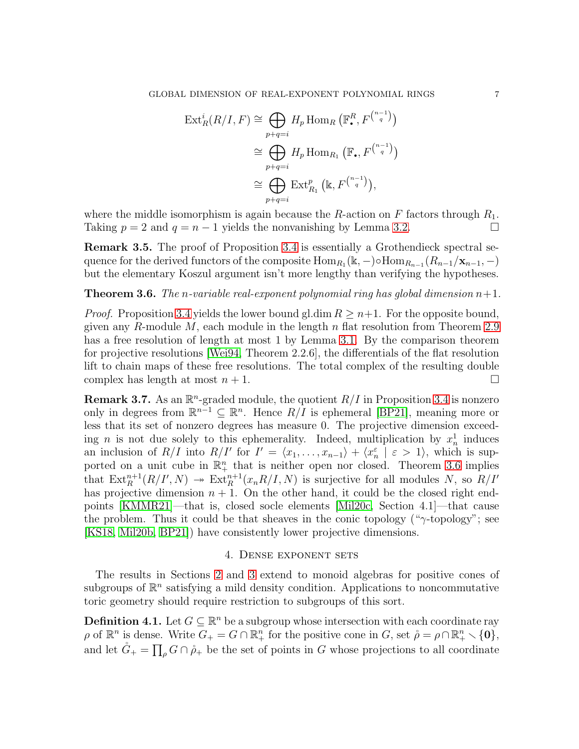$$
\operatorname{Ext}_{R}^{i}(R/I, F) \cong \bigoplus_{p+q=i} H_{p} \operatorname{Hom}_{R} \left( \mathbb{F}_{\bullet}^{R}, F^{n-1 \choose q} \right)
$$

$$
\cong \bigoplus_{p+q=i} H_{p} \operatorname{Hom}_{R_{1}} \left( \mathbb{F}_{\bullet}, F^{n-1 \choose q} \right)
$$

$$
\cong \bigoplus_{p+q=i} \operatorname{Ext}_{R_{1}}^{p} \left( \mathbb{k}, F^{n-1 \choose q} \right),
$$

where the middle isomorphism is again because the R-action on  $F$  factors through  $R_1$ . Taking  $p = 2$  and  $q = n - 1$  yields the nonvanishing by Lemma [3.2.](#page-5-0)

Remark 3.5. The proof of Proposition [3.4](#page-5-1) is essentially a Grothendieck spectral sequence for the derived functors of the composite  $\text{Hom}_{R_1}(\mathbb{k},-) \circ \text{Hom}_{R_{n-1}}(R_{n-1}/\mathbf{x}_{n-1},-)$ but the elementary Koszul argument isn't more lengthy than verifying the hypotheses.

<span id="page-6-0"></span>**Theorem 3.6.** The n-variable real-exponent polynomial ring has global dimension  $n+1$ .

*Proof.* Proposition [3.4](#page-5-1) yields the lower bound gl.dim  $R \geq n+1$ . For the opposite bound, given any R-module  $M$ , each module in the length  $n$  flat resolution from Theorem [2.9](#page-4-1) has a free resolution of length at most 1 by Lemma [3.1.](#page-4-2) By the comparison theorem for projective resolutions [\[Wei94,](#page-9-0) Theorem 2.2.6], the differentials of the flat resolution lift to chain maps of these free resolutions. The total complex of the resulting double complex has length at most  $n + 1$ .

**Remark 3.7.** As an  $\mathbb{R}^n$ -graded module, the quotient  $R/I$  in Proposition [3.4](#page-5-1) is nonzero only in degrees from  $\mathbb{R}^{n-1} \subseteq \mathbb{R}^n$ . Hence  $R/I$  is ephemeral [\[BP21\]](#page-8-9), meaning more or less that its set of nonzero degrees has measure 0. The projective dimension exceeding *n* is not due solely to this ephemerality. Indeed, multiplication by  $x_n^1$  induces an inclusion of  $R/I$  into  $R/I'$  for  $I' = \langle x_1, \ldots, x_{n-1} \rangle + \langle x_n^{\varepsilon} | \varepsilon > 1 \rangle$ , which is supported on a unit cube in  $\mathbb{R}^n_+$  that is neither open nor closed. Theorem [3.6](#page-6-0) implies that  $\text{Ext}^{n+1}_R(R/I',N) \twoheadrightarrow \text{Ext}^{n+1}_R(x_nR/I,N)$  is surjective for all modules N, so  $R/I'$ has projective dimension  $n + 1$ . On the other hand, it could be the closed right endpoints [\[KMMR21\]](#page-8-14)—that is, closed socle elements [\[Mil20c,](#page-8-3) Section 4.1]—that cause the problem. Thus it could be that sheaves in the conic topology (" $\gamma$ -topology"; see [\[KS18,](#page-8-7) [Mil20b,](#page-8-8) [BP21\]](#page-8-9)) have consistently lower projective dimensions.

# 4. Dense exponent sets

<span id="page-6-2"></span>The results in Sections [2](#page-2-3) and [3](#page-4-5) extend to monoid algebras for positive cones of subgroups of  $\mathbb{R}^n$  satisfying a mild density condition. Applications to noncommutative toric geometry should require restriction to subgroups of this sort.

<span id="page-6-1"></span>**Definition 4.1.** Let  $G \subseteq \mathbb{R}^n$  be a subgroup whose intersection with each coordinate ray  $\rho$  of  $\mathbb{R}^n$  is dense. Write  $G_+ = G \cap \mathbb{R}^n_+$  for the positive cone in  $G$ , set  $\rho = \rho \cap \mathbb{R}^n_+ \setminus \{\mathbf{0}\},\$ and let  $\mathring{G}_+ = \prod_{\rho} G \cap \mathring{\rho}_+$  be the set of points in G whose projections to all coordinate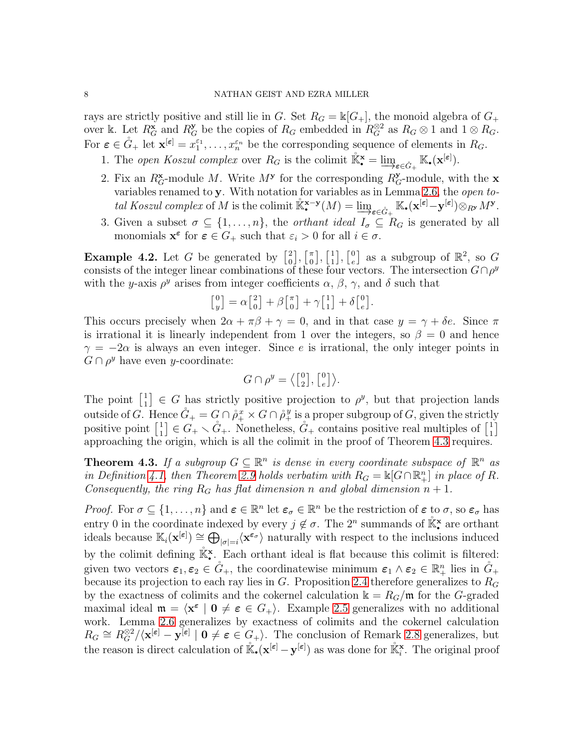rays are strictly positive and still lie in G. Set  $R_G = \mathbb{k}[G_+]$ , the monoid algebra of  $G_+$ over k. Let  $R_G^{\mathbf{x}}$  and  $R_G^{\mathbf{y}}$  be the copies of  $R_G$  embedded in  $R_G^{\otimes 2}$  as  $R_G \otimes 1$  and  $1 \otimes R_G$ . For  $\boldsymbol{\varepsilon} \in \mathring{G}_+$  let  $\mathbf{x}^{[\boldsymbol{\varepsilon}]} = x_1^{\varepsilon_1}$  $x_1^{\varepsilon_1}, \ldots, x_n^{\varepsilon_n}$  be the corresponding sequence of elements in  $R_G$ .

- 1. The open Koszul complex over  $R_G$  is the colimit  $\mathbb{K}^{\mathbf{x}}_{\bullet} = \lim_{\sigma \in \mathring{G}_+} \mathbb{K}_{\bullet}(\mathbf{x}^{[\varepsilon]})$ .
- 2. Fix an  $R_G^{\mathbf{x}}$ -module M. Write  $M^{\mathbf{y}}$  for the corresponding  $R_G^{\mathbf{y}}$ -module, with the **x** variables renamed to y. With notation for variables as in Lemma [2.6,](#page-3-3) the open total Koszul complex of M is the colimit  $\mathbb{K}^{x-y}(M) = \varinjlim_{\varepsilon \in \mathring{G}_+} \mathbb{K}_\bullet(\mathbf{x}^{[\varepsilon]} - \mathbf{y}^{[\varepsilon]}) \otimes_{R^y} M^y$ .
- 3. Given a subset  $\sigma \subseteq \{1, \ldots, n\}$ , the *orthant ideal*  $I_{\sigma} \subseteq R_G$  is generated by all monomials  $\mathbf{x}^{\varepsilon}$  for  $\varepsilon \in G_+$  such that  $\varepsilon_i > 0$  for all  $i \in \sigma$ .

**Example 4.2.** Let G be generated by  $\begin{bmatrix} 2 \\ 0 \end{bmatrix}$  $\begin{bmatrix} 2 \\ 0 \end{bmatrix}, \begin{bmatrix} \pi \\ 0 \end{bmatrix}$  $\left[ \begin{smallmatrix} \pi \ 0 \end{smallmatrix} \right], \left[ \begin{smallmatrix} 1 \ 1 \end{smallmatrix} \right]$  $\begin{bmatrix} 1 \\ 1 \end{bmatrix}, \begin{bmatrix} 0 \\ e \end{bmatrix}$  $e^0$ ] as a subgroup of  $\mathbb{R}^2$ , so G consists of the integer linear combinations of these four vectors. The intersection  $G \cap \rho^y$ with the y-axis  $\rho^y$  arises from integer coefficients  $\alpha$ ,  $\beta$ ,  $\gamma$ , and  $\delta$  such that

$$
\begin{bmatrix} 0 \\ y \end{bmatrix} = \alpha \begin{bmatrix} 2 \\ 0 \end{bmatrix} + \beta \begin{bmatrix} \pi \\ 0 \end{bmatrix} + \gamma \begin{bmatrix} 1 \\ 1 \end{bmatrix} + \delta \begin{bmatrix} 0 \\ e \end{bmatrix}.
$$

This occurs precisely when  $2\alpha + \pi\beta + \gamma = 0$ , and in that case  $y = \gamma + \delta e$ . Since  $\pi$ is irrational it is linearly independent from 1 over the integers, so  $\beta = 0$  and hence  $\gamma = -2\alpha$  is always an even integer. Since e is irrational, the only integer points in  $G \cap \rho^y$  have even y-coordinate:

$$
G \cap \rho^y = \left\langle \begin{bmatrix} 0 \\ 2 \end{bmatrix}, \begin{bmatrix} 0 \\ e \end{bmatrix} \right\rangle.
$$

The point  $\begin{bmatrix} 1 \\ 1 \end{bmatrix}$  $\begin{bmatrix} 1 \\ 1 \end{bmatrix} \in G$  has strictly positive projection to  $\rho^y$ , but that projection lands outside of G. Hence  $\mathring{G}_+ = G \cap \mathring{\rho}_+^x \times G \cap \mathring{\rho}_+^y$  is a proper subgroup of G, given the strictly positive point  $\begin{bmatrix} 1 \\ 1 \end{bmatrix}$  $\begin{bmatrix} 1 \\ 1 \end{bmatrix} \in G_+ \setminus \mathring{G}_+$ . Nonetheless,  $\mathring{G}_+$  contains positive real multiples of  $\begin{bmatrix} 1 \\ 1 \end{bmatrix}$  $\begin{bmatrix} 1 \\ 1 \end{bmatrix}$ approaching the origin, which is all the colimit in the proof of Theorem [4.3](#page-7-0) requires.

<span id="page-7-0"></span>**Theorem 4.3.** If a subgroup  $G \subseteq \mathbb{R}^n$  is dense in every coordinate subspace of  $\mathbb{R}^n$  as in Definition [4.1,](#page-6-1) then Theorem [2.9](#page-4-1) holds verbatim with  $R_G = \mathbb{K}[G \cap \mathbb{R}^n_+]$  in place of R. Consequently, the ring  $R_G$  has flat dimension n and global dimension  $n + 1$ .

*Proof.* For  $\sigma \subseteq \{1, \ldots, n\}$  and  $\boldsymbol{\varepsilon} \in \mathbb{R}^n$  let  $\boldsymbol{\varepsilon}_{\sigma} \in \mathbb{R}^n$  be the restriction of  $\boldsymbol{\varepsilon}$  to  $\sigma$ , so  $\boldsymbol{\varepsilon}_{\sigma}$  has entry 0 in the coordinate indexed by every  $j \notin \sigma$ . The  $2^n$  summands of  $\mathbb{K}^{\mathbf{x}}$  are orthant ideals because  $\mathbb{K}_i(\mathbf{x}^{[\varepsilon]}) \cong \bigoplus_{|\sigma|=i} \langle \mathbf{x}^{\varepsilon_{\sigma}} \rangle$  naturally with respect to the inclusions induced by the colimit defining  $\mathbb{K}^{\mathbf{x}}$ . Each orthant ideal is flat because this colimit is filtered: given two vectors  $\varepsilon_1, \varepsilon_2 \in \mathring{G}_+$ , the coordinatewise minimum  $\varepsilon_1 \wedge \varepsilon_2 \in \mathbb{R}^n_+$  lies in  $\mathring{G}_+$ because its projection to each ray lies in  $G$ . Proposition [2.4](#page-2-0) therefore generalizes to  $R_G$ by the exactness of colimits and the cokernel calculation  $k = R_G/m$  for the G-graded maximal ideal  $\mathfrak{m} = \langle \mathbf{x}^{\varepsilon} \mid \mathbf{0} \neq \varepsilon \in G_+ \rangle$ . Example [2.5](#page-3-0) generalizes with no additional work. Lemma [2.6](#page-3-3) generalizes by exactness of colimits and the cokernel calculation  $R_G \cong R_G^{\otimes 2}/\langle \mathbf{x}^{[\varepsilon]} - \mathbf{y}^{[\varepsilon]} \mid \mathbf{0} \neq \varepsilon \in G_+ \rangle$ . The conclusion of Remark [2.8](#page-4-4) generalizes, but the reason is direct calculation of  $\mathbb{K}_{\bullet}(\mathbf{x}^{[\varepsilon]} - \mathbf{y}^{[\varepsilon]})$  as was done for  $\mathbb{K}_{i}^{\mathbf{x}}$ . The original proof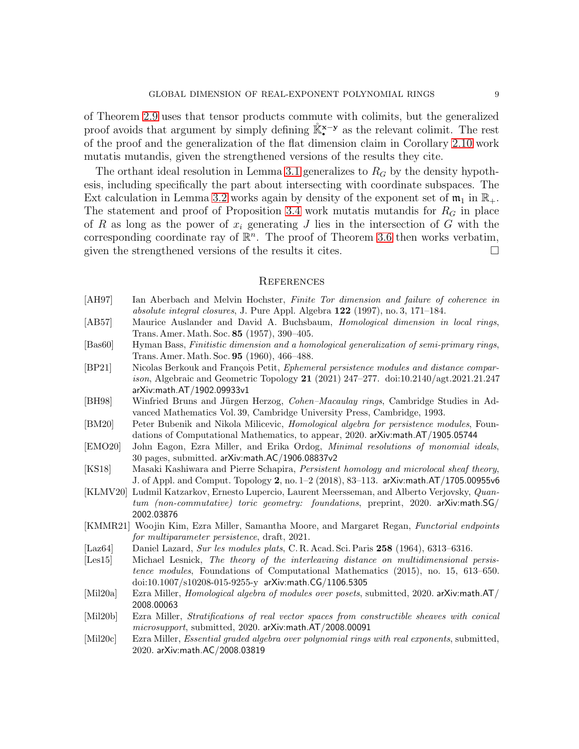of Theorem [2.9](#page-4-1) uses that tensor products commute with colimits, but the generalized proof avoids that argument by simply defining  $\mathbb{K}^{\mathbf{x}-\mathbf{y}}$  as the relevant colimit. The rest of the proof and the generalization of the flat dimension claim in Corollary [2.10](#page-4-0) work mutatis mutandis, given the strengthened versions of the results they cite.

The orthant ideal resolution in Lemma [3.1](#page-4-2) generalizes to  $R_G$  by the density hypothesis, including specifically the part about intersecting with coordinate subspaces. The Ext calculation in Lemma [3.2](#page-5-0) works again by density of the exponent set of  $\mathfrak{m}_1$  in  $\mathbb{R}_+$ . The statement and proof of Proposition [3.4](#page-5-1) work mutatis mutandis for  $R<sub>G</sub>$  in place of R as long as the power of  $x_i$  generating J lies in the intersection of G with the corresponding coordinate ray of  $\mathbb{R}^n$ . The proof of Theorem [3.6](#page-6-0) then works verbatim, given the strengthened versions of the results it cites.  $\Box$ 

### **REFERENCES**

- <span id="page-8-12"></span>[AH97] Ian Aberbach and Melvin Hochster, Finite Tor dimension and failure of coherence in absolute integral closures, J. Pure Appl. Algebra  $122$  (1997), no. 3, 171–184.
- <span id="page-8-0"></span>[AB57] Maurice Auslander and David A. Buchsbaum, *Homological dimension in local rings*, Trans. Amer. Math. Soc. 85 (1957), 390–405.
- <span id="page-8-1"></span>[Bas60] Hyman Bass, Finitistic dimension and a homological generalization of semi-primary rings, Trans. Amer. Math. Soc. 95 (1960), 466–488.
- <span id="page-8-9"></span>[BP21] Nicolas Berkouk and François Petit, Ephemeral persistence modules and distance compar*ison*, Algebraic and Geometric Topology 21 (2021) 247–277. doi:10.2140/agt.2021.21.247 arXiv:math.AT/1902.09933v1
- <span id="page-8-13"></span>[BH98] Winfried Bruns and Jürgen Herzog, *Cohen–Macaulay rings*, Cambridge Studies in Advanced Mathematics Vol. 39, Cambridge University Press, Cambridge, 1993.
- <span id="page-8-6"></span>[BM20] Peter Bubenik and Nikola Milicevic, Homological algebra for persistence modules, Foundations of Computational Mathematics, to appear, 2020. arXiv:math.AT/1905.05744
- <span id="page-8-2"></span>[EMO20] John Eagon, Ezra Miller, and Erika Ordog, Minimal resolutions of monomial ideals, 30 pages, submitted. arXiv:math.AC/1906.08837v2
- <span id="page-8-7"></span>[KS18] Masaki Kashiwara and Pierre Schapira, Persistent homology and microlocal sheaf theory, J. of Appl. and Comput. Topology 2, no. 1–2 (2018), 83–113. arXiv:math.AT/1705.00955v6
- <span id="page-8-4"></span>[KLMV20] Ludmil Katzarkov, Ernesto Lupercio, Laurent Meersseman, and Alberto Verjovsky, Quantum (non-commutative) toric geometry: foundations, preprint, 2020. arXiv:math.SG/ 2002.03876
- <span id="page-8-14"></span>[KMMR21] Woojin Kim, Ezra Miller, Samantha Moore, and Margaret Regan, Functorial endpoints for multiparameter persistence, draft, 2021.
- <span id="page-8-11"></span>[Laz64] Daniel Lazard, Sur les modules plats, C. R. Acad. Sci. Paris 258 (1964), 6313–6316.
- <span id="page-8-5"></span>[Les15] Michael Lesnick, The theory of the interleaving distance on multidimensional persistence modules, Foundations of Computational Mathematics (2015), no. 15, 613–650. doi:10.1007/s10208-015-9255-y arXiv:math.CG/1106.5305
- <span id="page-8-10"></span>[Mil20a] Ezra Miller, Homological algebra of modules over posets, submitted, 2020. arXiv:math.AT/ 2008.00063
- <span id="page-8-8"></span>[Mil20b] Ezra Miller, Stratifications of real vector spaces from constructible sheaves with conical microsupport, submitted, 2020. arXiv:math.AT/2008.00091
- <span id="page-8-3"></span>[Mil20c] Ezra Miller, *Essential graded algebra over polynomial rings with real exponents*, submitted, 2020. arXiv:math.AC/2008.03819